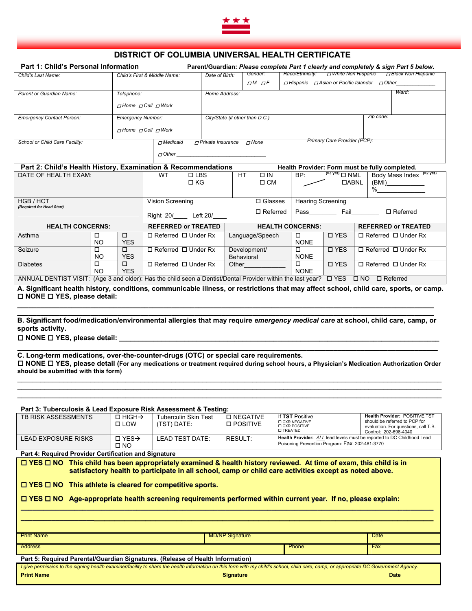

## **DISTRICT OF COLUMBIA UNIVERSAL HEALTH CERTIFICATE**

| <b>Part 1: Child's Personal Information</b>       |                                     | Parent/Guardian: Please complete Part 1 clearly and completely & sign Part 5 below. |                                 |                                                               |                            |  |  |
|---------------------------------------------------|-------------------------------------|-------------------------------------------------------------------------------------|---------------------------------|---------------------------------------------------------------|----------------------------|--|--|
| Child's Last Name:                                | Child's First & Middle Name:        | Date of Birth:                                                                      | Gender:                         | <b>D</b> White Non Hispanic<br>Race/Ethnicity:                | <b>DBlack Non Hispanic</b> |  |  |
|                                                   |                                     |                                                                                     | $\Box$ M $\Box$ F               | $\neg$ Hispanic $\neg$ Asian or Pacific Islander $\neg$ Other |                            |  |  |
| Parent or Guardian Name:                          | Telephone:                          | Home Address:                                                                       |                                 |                                                               | Ward:                      |  |  |
|                                                   | $\neg$ Home $\neg$ Cell $\neg$ Work |                                                                                     |                                 |                                                               |                            |  |  |
| <b>Emergency Contact Person:</b>                  | <b>Emergency Number:</b>            |                                                                                     | City/State (if other than D.C.) | Zip code:                                                     |                            |  |  |
|                                                   | $\pi$ Home $\pi$ Cell $\pi$ Work    |                                                                                     |                                 |                                                               |                            |  |  |
| School or Child Care Facility:<br>$\neg$ Medicaid |                                     | $\pi$ Private Insurance                                                             | $\neg$ None                     | Primary Care Provider (PCP):                                  |                            |  |  |
|                                                   | $\pi$ Other                         |                                                                                     |                                 |                                                               |                            |  |  |

## **Part 2: Child's Health History, Examination & Recommendations Health Provider: Form must be fully completed.**

| .,,                                                                                                                                              |           |                            |                                 |                          |                               |                             |                                 |
|--------------------------------------------------------------------------------------------------------------------------------------------------|-----------|----------------------------|---------------------------------|--------------------------|-------------------------------|-----------------------------|---------------------------------|
| DATE OF HEALTH EXAM:                                                                                                                             |           | WT<br>$\Box$ LBS           | HT.<br>$\square$ IN             | BP:                      | $(>3 \text{ yrs})$ $\Box$ NML | (>2 yrs)<br>Body Mass Index |                                 |
|                                                                                                                                                  |           | $\Box$ KG                  | $\Box$ CM                       |                          | <b>DABNL</b>                  | (BMI)                       |                                 |
|                                                                                                                                                  |           |                            |                                 |                          |                               | %                           |                                 |
|                                                                                                                                                  |           |                            |                                 |                          |                               |                             |                                 |
| HGB / HCT                                                                                                                                        |           | Vision Screening           | $\Box$ Glasses                  | <b>Hearing Screening</b> |                               |                             |                                 |
| (Required for Head Start)                                                                                                                        |           |                            | $\Box$ Referred                 | Pass                     | Fail                          | $\Box$ Referred             |                                 |
|                                                                                                                                                  |           | Right 20/ Left 20/         |                                 |                          |                               |                             |                                 |
| <b>HEALTH CONCERNS:</b>                                                                                                                          |           | <b>REFERRED or TREATED</b> | <b>HEALTH CONCERNS:</b>         |                          |                               | <b>REFERRED or TREATED</b>  |                                 |
| Asthma                                                                                                                                           |           | □                          | $\Box$ Referred $\Box$ Under Rx | Language/Speech          | □                             | <b>D</b> YES                | $\Box$ Referred $\Box$ Under Rx |
|                                                                                                                                                  | <b>NO</b> | <b>YES</b>                 |                                 |                          | <b>NONE</b>                   |                             |                                 |
| Seizure                                                                                                                                          | ◻         | ◻                          | $\Box$ Referred $\Box$ Under Rx | Development/             | □                             | □ YES                       | $\Box$ Referred $\Box$ Under Rx |
|                                                                                                                                                  | NO        | <b>YES</b>                 |                                 | Behavioral               | <b>NONE</b>                   |                             |                                 |
| <b>Diabetes</b>                                                                                                                                  | ◻         | п                          | $\Box$ Referred $\Box$ Under Rx | Other                    | $\Box$                        | □ YES                       | $\Box$ Referred $\Box$ Under Rx |
|                                                                                                                                                  | NO.       | <b>YES</b>                 |                                 |                          | <b>NONE</b>                   |                             |                                 |
| ANNUAL DENTIST VISIT: (Age 3 and older): Has the child seen a Dentist/Dental Provider within the last year? DYES<br>$\Box$ NO<br>$\Box$ Referred |           |                            |                                 |                          |                               |                             |                                 |

**A. Significant health history, conditions, communicable illness, or restrictions that may affect school, child care, sports, or camp. NONE YES, please detail:** 

**\_\_\_\_\_\_\_\_\_\_\_\_\_\_\_\_\_\_\_\_\_\_\_\_\_\_\_\_\_\_\_\_\_\_\_\_\_\_\_\_\_\_\_\_\_\_\_\_\_\_\_\_\_\_\_\_\_\_\_\_\_\_\_\_\_\_\_\_\_\_\_\_\_\_\_\_\_\_\_\_\_\_\_\_\_\_\_\_\_\_\_\_\_\_\_\_\_\_\_\_\_\_\_\_\_\_\_\_ B. Significant food/medication/environmental allergies that may require** *emergency medical care* **at school, child care, camp, or sports activity.** 

**\_\_\_\_\_\_\_\_\_\_\_\_\_\_\_\_\_\_\_\_\_\_\_\_\_\_\_\_\_\_\_\_\_\_\_\_\_\_\_\_\_\_\_\_\_\_\_\_\_\_\_\_\_\_\_\_\_\_\_\_\_\_\_\_\_\_\_\_\_\_\_\_\_\_\_\_\_\_\_\_\_\_\_\_\_\_\_\_\_\_\_\_\_\_\_\_\_\_\_\_\_\_\_\_\_\_\_\_**

□ NONE □ YES, please detail:

**C. Long-term medications, over-the-counter-drugs (OTC) or special care requirements. NONE YES, please detail (For any medications or treatment required during school hours, a Physician's Medication Authorization Order should be submitted with this form)**  $\_$  , and the state of the state of the state of the state of the state of the state of the state of the state of the state of the state of the state of the state of the state of the state of the state of the state of the

 $\_$  , and the set of the set of the set of the set of the set of the set of the set of the set of the set of the set of the set of the set of the set of the set of the set of the set of the set of the set of the set of th \_\_\_\_\_\_\_\_\_\_\_\_\_\_\_\_\_\_\_\_\_\_\_\_\_\_\_\_\_\_\_\_\_\_\_\_\_\_\_\_\_\_\_\_\_\_\_\_\_\_\_\_\_\_\_\_\_\_\_\_\_\_\_\_\_\_\_\_\_\_\_\_\_\_\_\_\_\_\_\_\_\_\_\_\_\_\_\_\_\_\_\_\_\_\_\_\_\_\_\_\_\_\_\_\_\_\_\_\_\_

**\_\_\_\_\_\_\_\_\_\_\_\_\_\_\_\_\_\_\_\_\_\_\_\_\_\_\_\_\_\_\_\_\_\_\_\_\_\_\_\_\_\_\_\_\_\_\_\_\_\_\_\_\_\_\_\_\_\_\_\_\_\_\_\_\_\_\_\_\_\_\_\_\_\_\_\_\_\_\_\_\_\_\_\_\_\_\_\_\_\_\_\_\_\_\_\_\_\_\_\_\_\_\_\_\_\_\_\_\_** 

| Part 3: Tuberculosis & Lead Exposure Risk Assessment & Testing:                                                                                                                                                                                                                                                                                                                                                        |                                          |                                            |                                 |                                                                                                                           |                                                                                                                                 |  |
|------------------------------------------------------------------------------------------------------------------------------------------------------------------------------------------------------------------------------------------------------------------------------------------------------------------------------------------------------------------------------------------------------------------------|------------------------------------------|--------------------------------------------|---------------------------------|---------------------------------------------------------------------------------------------------------------------------|---------------------------------------------------------------------------------------------------------------------------------|--|
| <b>TB RISK ASSESSMENTS</b>                                                                                                                                                                                                                                                                                                                                                                                             | $\Box$ HIGH $\rightarrow$<br>$\Pi$ I OW  | <b>Tuberculin Skin Test</b><br>(TST) DATE: | <b>D NEGATIVE</b><br>□ POSITIVE | If TST Positive<br><b>D CXR NEGATIVE</b><br><b>O CXR POSITIVE</b><br><b>O TREATED</b>                                     | Health Provider: POSITIVE TST<br>should be referred to PCP for<br>evaluation. For questions, call T.B.<br>Control: 202-698-4040 |  |
| <b>LEAD EXPOSURE RISKS</b>                                                                                                                                                                                                                                                                                                                                                                                             | $\Box$ YES $\rightarrow$<br>$\square$ NO | <b>LEAD TEST DATE:</b>                     | RESULT:                         | Health Provider: ALL lead levels must be reported to DC Childhood Lead<br>Poisoning Prevention Program: Fax: 202-481-3770 |                                                                                                                                 |  |
| Part 4: Required Provider Certification and Signature                                                                                                                                                                                                                                                                                                                                                                  |                                          |                                            |                                 |                                                                                                                           |                                                                                                                                 |  |
| □ YES □ NO This child has been appropriately examined & health history reviewed. At time of exam, this child is in<br>satisfactory health to participate in all school, camp or child care activities except as noted above.<br>$\Box$ YES $\Box$ NO This athlete is cleared for competitive sports.<br>□ YES □ NO Age-appropriate health screening requirements performed within current year. If no, please explain: |                                          |                                            |                                 |                                                                                                                           |                                                                                                                                 |  |
| <b>Print Name</b>                                                                                                                                                                                                                                                                                                                                                                                                      |                                          |                                            | <b>MD/NP Signature</b>          |                                                                                                                           | <b>Date</b>                                                                                                                     |  |
| <b>Address</b>                                                                                                                                                                                                                                                                                                                                                                                                         |                                          |                                            |                                 | Phone                                                                                                                     | Fax                                                                                                                             |  |
| Part 5: Required Parental/Guardian Signatures. (Release of Health Information)                                                                                                                                                                                                                                                                                                                                         |                                          |                                            |                                 |                                                                                                                           |                                                                                                                                 |  |
| I give permission to the signing health examiner/facility to share the health information on this form with my child's school, child care, camp, or appropriate DC Government Agency.                                                                                                                                                                                                                                  |                                          |                                            |                                 |                                                                                                                           |                                                                                                                                 |  |
| <b>Print Name</b>                                                                                                                                                                                                                                                                                                                                                                                                      |                                          |                                            | <b>Signature</b>                |                                                                                                                           | <b>Date</b>                                                                                                                     |  |